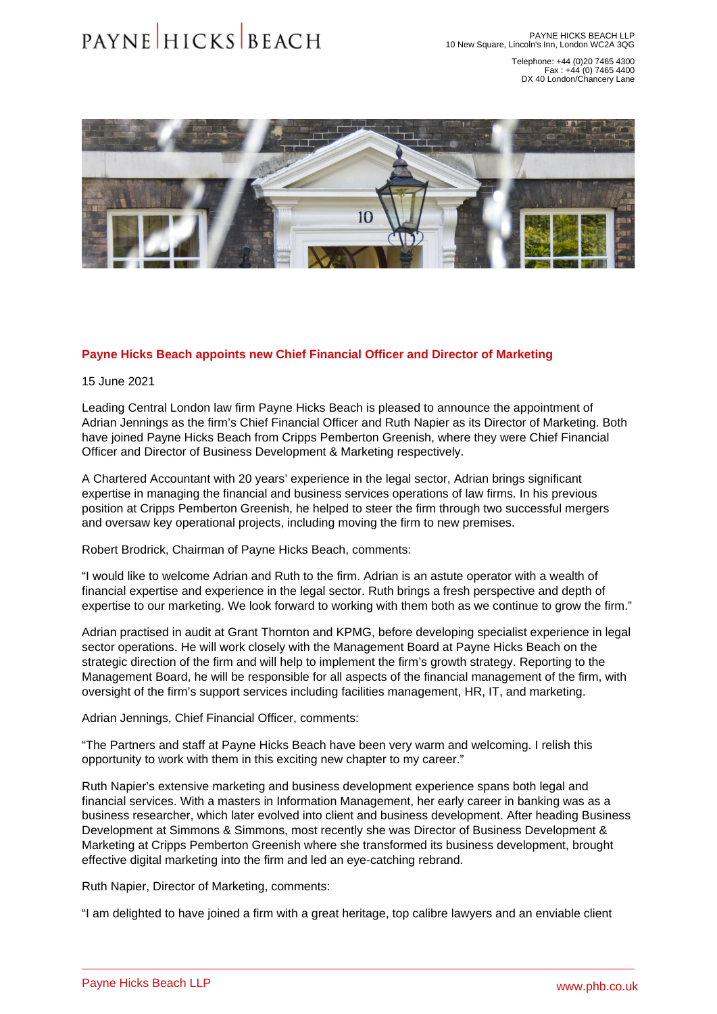Telephone: +44 (0)20 7465 4300 Fax : +44 (0) 7465 4400 DX 40 London/Chancery Lane

## Payne Hicks Beach appoints new Chief Financial Officer and Director of Marketing

15 June 2021

Leading Central London law firm Payne Hicks Beach is pleased to announce the appointment of [Adrian Jennings](�� h t t p s : / / w w w . p h b . c o . u k / o u r - p e o p l e / p r o f i l e / a d r i a n - j e n n i n g s) as the firm's Chief Financial Officer and [Ruth Napier](�� h t t p s : / / w w w . p h b . c o . u k / o u r - p e o p l e / p r o f i l e / r u t h - n a p i e r) as its Director of Marketing. Both have joined Payne Hicks Beach from Cripps Pemberton Greenish, where they were Chief Financial Officer and Director of Business Development & Marketing respectively.

A Chartered Accountant with 20 years' experience in the legal sector, Adrian brings significant expertise in managing the financial and business services operations of law firms. In his previous position at Cripps Pemberton Greenish, he helped to steer the firm through two successful mergers and oversaw key operational projects, including moving the firm to new premises.

Robert Brodrick, Chairman of Payne Hicks Beach, comments:

"I would like to welcome Adrian and Ruth to the firm. Adrian is an astute operator with a wealth of financial expertise and experience in the legal sector. Ruth brings a fresh perspective and depth of expertise to our marketing. We look forward to working with them both as we continue to grow the firm."

Adrian practised in audit at Grant Thornton and KPMG, before developing specialist experience in legal sector operations. He will work closely with the Management Board at Payne Hicks Beach on the strategic direction of the firm and will help to implement the firm's growth strategy. Reporting to the Management Board, he will be responsible for all aspects of the financial management of the firm, with oversight of the firm's support services including facilities management, HR, IT, and marketing.

Adrian Jennings, Chief Financial Officer, comments:

"The Partners and staff at Payne Hicks Beach have been very warm and welcoming. I relish this opportunity to work with them in this exciting new chapter to my career."

Ruth Napier's extensive marketing and business development experience spans both legal and financial services. With a masters in Information Management, her early career in banking was as a business researcher, which later evolved into client and business development. After heading Business Development at Simmons & Simmons, most recently she was Director of Business Development & Marketing at Cripps Pemberton Greenish where she transformed its business development, brought effective digital marketing into the firm and led an eye-catching rebrand.

Ruth Napier, Director of Marketing, comments:

"I am delighted to have joined a firm with a great heritage, top calibre lawyers and an enviable client